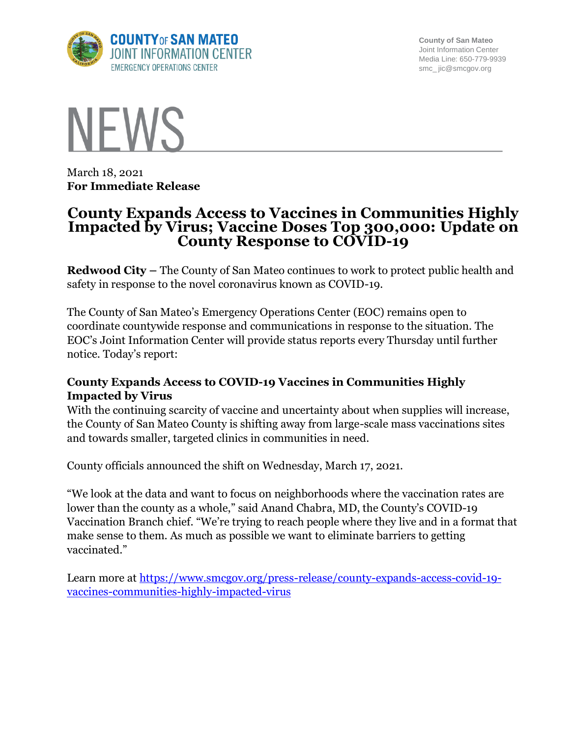

**County of San Mateo** Joint Information Center Media Line: 650-779-9939 smc\_ jic@smcgov.org



March 18, 2021 **For Immediate Release**

# **County Expands Access to Vaccines in Communities Highly Impacted by Virus; Vaccine Doses Top 300,000: Update on County Response to COVID-19**

**Redwood City –** The County of San Mateo continues to work to protect public health and safety in response to the novel coronavirus known as COVID-19.

The County of San Mateo's Emergency Operations Center (EOC) remains open to coordinate countywide response and communications in response to the situation. The EOC's Joint Information Center will provide status reports every Thursday until further notice. Today's report:

## **County Expands Access to COVID-19 Vaccines in Communities Highly Impacted by Virus**

With the continuing scarcity of vaccine and uncertainty about when supplies will increase, the County of San Mateo County is shifting away from large-scale mass vaccinations sites and towards smaller, targeted clinics in communities in need.

County officials announced the shift on Wednesday, March 17, 2021.

"We look at the data and want to focus on neighborhoods where the vaccination rates are lower than the county as a whole," said Anand Chabra, MD, the County's COVID-19 Vaccination Branch chief. "We're trying to reach people where they live and in a format that make sense to them. As much as possible we want to eliminate barriers to getting vaccinated."

Learn more at [https://www.smcgov.org/press-release/county-expands-access-covid-19](https://www.smcgov.org/press-release/county-expands-access-covid-19-vaccines-communities-highly-impacted-virus) [vaccines-communities-highly-impacted-virus](https://www.smcgov.org/press-release/county-expands-access-covid-19-vaccines-communities-highly-impacted-virus)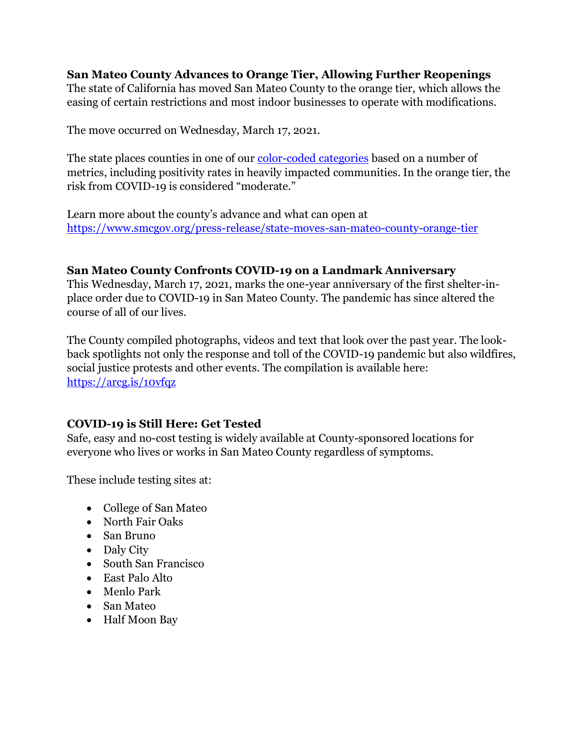#### **San Mateo County Advances to Orange Tier, Allowing Further Reopenings** The state of California has moved San Mateo County to the orange tier, which allows the easing of certain restrictions and most indoor businesses to operate with modifications.

The move occurred on Wednesday, March 17, 2021.

The state places counties in one of our <u>color-coded categories</u> based on a number of metrics, including positivity rates in heavily impacted communities. In the orange tier, the risk from COVID-19 is considered "moderate."

Learn more about the county's advance and what can open at <https://www.smcgov.org/press-release/state-moves-san-mateo-county-orange-tier>

## **San Mateo County Confronts COVID-19 on a Landmark Anniversary**

This Wednesday, March 17, 2021, marks the one-year anniversary of the first shelter-inplace order due to COVID-19 in San Mateo County. The pandemic has since altered the course of all of our lives.

The County compiled photographs, videos and text that look over the past year. The lookback spotlights not only the response and toll of the COVID-19 pandemic but also wildfires, social justice protests and other events. The compilation is available here: <https://arcg.is/10vfqz>

# **COVID-19 is Still Here: Get Tested**

Safe, easy and no-cost testing is widely available at County-sponsored locations for everyone who lives or works in San Mateo County regardless of symptoms.

These include testing sites at:

- College of San Mateo
- North Fair Oaks
- San Bruno
- Daly City
- South San Francisco
- East Palo Alto
- Menlo Park
- San Mateo
- Half Moon Bay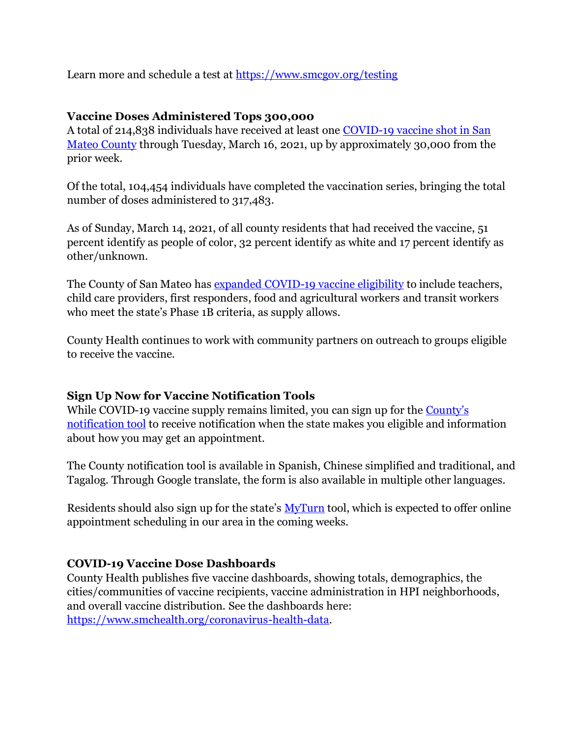Learn more and schedule a test at<https://www.smcgov.org/testing>

## **Vaccine Doses Administered Tops 300,000**

A total of 214,838 individuals have received at least one [COVID-19 vaccine shot in San](https://www.smchealth.org/data-dashboard/vaccination-totals-locations-data)  [Mateo County](https://www.smchealth.org/data-dashboard/vaccination-totals-locations-data) through Tuesday, March 16, 2021, up by approximately 30,000 from the prior week.

Of the total, 104,454 individuals have completed the vaccination series, bringing the total number of doses administered to 317,483.

As of Sunday, March 14, 2021, of all county residents that had received the vaccine, 51 percent identify as people of color, 32 percent identify as white and 17 percent identify as other/unknown.

The County of San Mateo has [expanded COVID-19 vaccine eligibility](https://www.smcgov.org/press-release/county-moves-expand-covid-19-vaccinations-eligible-essential-workers) to include teachers, child care providers, first responders, food and agricultural workers and transit workers who meet the state's Phase 1B criteria, as supply allows.

County Health continues to work with community partners on outreach to groups eligible to receive the vaccine.

# **Sign Up Now for Vaccine Notification Tools**

While COVID-19 vaccine supply remains limited, you can sign up for the County's [notification tool](http://forms.office.com/Pages/ResponsePage.aspx?id=Nfb6DU2gzEin422hrwiD-S6Nu8Fm05tAlD6PWRPnVIxUOUo0N0NUM1VDRUtVMDlBMlZBNFFBOFVNVyQlQCN0PWcu&wdLOR=c539C3515-F3DE-944B-88F3-A8F48EC76AB3) to receive notification when the state makes you eligible and information about how you may get an appointment.

The County notification tool is available in Spanish, Chinese simplified and traditional, and Tagalog. Through Google translate, the form is also available in multiple other languages.

Residents should also sign up for the state's [MyTurn](https://myturn.ca.gov/landing) tool, which is expected to offer online appointment scheduling in our area in the coming weeks.

## **COVID-19 Vaccine Dose Dashboards**

County Health publishes five vaccine dashboards, showing totals, demographics, the cities/communities of vaccine recipients, vaccine administration in HPI neighborhoods, and overall vaccine distribution. See the dashboards here: [https://www.smchealth.org/coronavirus-health-data.](https://www.smchealth.org/coronavirus-health-data)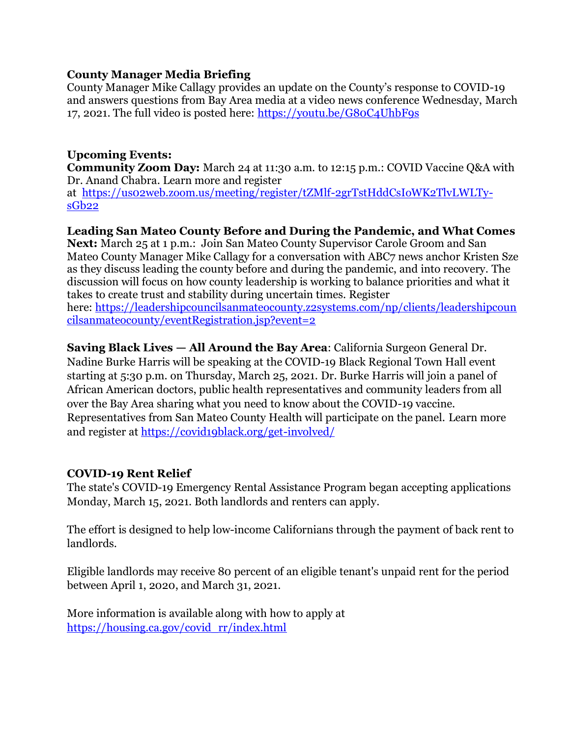## **County Manager Media Briefing**

County Manager Mike Callagy provides an update on the County's response to COVID-19 and answers questions from Bay Area media at a video news conference Wednesday, March 17, 2021. The full video is posted here:<https://youtu.be/G80C4UhbF9s>

## **Upcoming Events:**

**Community Zoom Day:** March 24 at 11:30 a.m. to 12:15 p.m.: COVID Vaccine Q&A with Dr. Anand Chabra. Learn more and register

at [https://us02web.zoom.us/meeting/register/tZMlf-2grTstHddCsIoWK2TlvLWLTy](https://us02web.zoom.us/meeting/register/tZMlf-2grTstHddCsIoWK2TlvLWLTy-sGb22)[sGb22](https://us02web.zoom.us/meeting/register/tZMlf-2grTstHddCsIoWK2TlvLWLTy-sGb22)

#### **Leading San Mateo County Before and During the Pandemic, and What Comes**

**Next:** March 25 at 1 p.m.: Join San Mateo County Supervisor Carole Groom and San Mateo County Manager Mike Callagy for a conversation with ABC7 news anchor Kristen Sze as they discuss leading the county before and during the pandemic, and into recovery. The discussion will focus on how county leadership is working to balance priorities and what it takes to create trust and stability during uncertain times. Register here: [https://leadershipcouncilsanmateocounty.z2systems.com/np/clients/leadershipcoun](https://leadershipcouncilsanmateocounty.z2systems.com/np/clients/leadershipcouncilsanmateocounty/eventRegistration.jsp?event=2)

[cilsanmateocounty/eventRegistration.jsp?event=2](https://leadershipcouncilsanmateocounty.z2systems.com/np/clients/leadershipcouncilsanmateocounty/eventRegistration.jsp?event=2)

## **Saving Black Lives — All Around the Bay Area**: California Surgeon General Dr.

Nadine Burke Harris will be speaking at the COVID-19 Black Regional Town Hall event starting at 5:30 p.m. on Thursday, March 25, 2021. Dr. Burke Harris will join a panel of African American doctors, public health representatives and community leaders from all over the Bay Area sharing what you need to know about the COVID-19 vaccine. Representatives from San Mateo County Health will participate on the panel. Learn more and register at<https://covid19black.org/get-involved/>

## **COVID-19 Rent Relief**

The state's COVID-19 Emergency Rental Assistance Program began accepting applications Monday, March 15, 2021. Both landlords and renters can apply.

The effort is designed to help low-income Californians through the payment of back rent to landlords.

Eligible landlords may receive 80 percent of an eligible tenant's unpaid rent for the period between April 1, 2020, and March 31, 2021.

More information is available along with how to apply at [https://housing.ca.gov/covid\\_rr/index.html](https://housing.ca.gov/covid_rr/index.html)